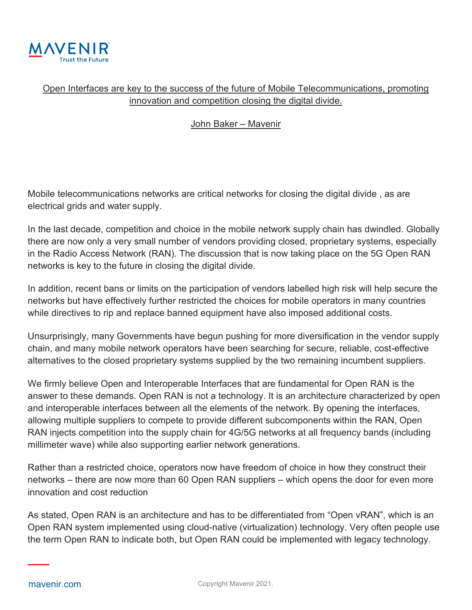

## Open Interfaces are key to the success of the future of Mobile Telecommunications, promoting innovation and competition closing the digital divide.

## John Baker – Mavenir

Mobile telecommunications networks are critical networks for closing the digital divide , as are electrical grids and water supply.

In the last decade, competition and choice in the mobile network supply chain has dwindled. Globally there are now only a very small number of vendors providing closed, proprietary systems, especially in the Radio Access Network (RAN). The discussion that is now taking place on the 5G Open RAN networks is key to the future in closing the digital divide.

In addition, recent bans or limits on the participation of vendors labelled high risk will help secure the networks but have effectively further restricted the choices for mobile operators in many countries while directives to rip and replace banned equipment have also imposed additional costs.

Unsurprisingly, many Governments have begun pushing for more diversification in the vendor supply chain, and many mobile network operators have been searching for secure, reliable, cost-effective alternatives to the closed proprietary systems supplied by the two remaining incumbent suppliers.

We firmly believe Open and Interoperable Interfaces that are fundamental for Open RAN is the answer to these demands. Open RAN is not a technology. It is an architecture characterized by open and interoperable interfaces between all the elements of the network. By opening the interfaces, allowing multiple suppliers to compete to provide different subcomponents within the RAN, Open RAN injects competition into the supply chain for 4G/5G networks at all frequency bands (including millimeter wave) while also supporting earlier network generations.

Rather than a restricted choice, operators now have freedom of choice in how they construct their networks – there are now more than 60 Open RAN suppliers – which opens the door for even more innovation and cost reduction

As stated, Open RAN is an architecture and has to be differentiated from "Open vRAN", which is an Open RAN system implemented using cloud-native (virtualization) technology. Very often people use the term Open RAN to indicate both, but Open RAN could be implemented with legacy technology.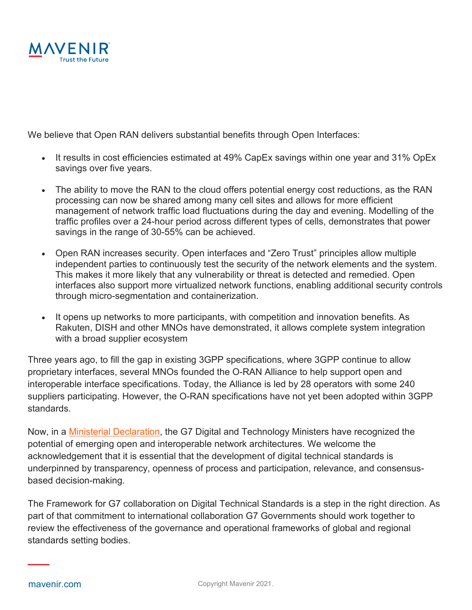

We believe that Open RAN delivers substantial benefits through Open Interfaces:

- It results in cost efficiencies estimated at 49% CapEx savings within one year and 31% OpEx savings over five years.
- The ability to move the RAN to the cloud offers potential energy cost reductions, as the RAN processing can now be shared among many cell sites and allows for more efficient management of network traffic load fluctuations during the day and evening. Modelling of the traffic profiles over a 24-hour period across different types of cells, demonstrates that power savings in the range of 30-55% can be achieved.
- Open RAN increases security. Open interfaces and "Zero Trust" principles allow multiple independent parties to continuously test the security of the network elements and the system. This makes it more likely that any vulnerability or threat is detected and remedied. Open interfaces also support more virtualized network functions, enabling additional security controls through micro-segmentation and containerization.
- It opens up networks to more participants, with competition and innovation benefits. As Rakuten, DISH and other MNOs have demonstrated, it allows complete system integration with a broad supplier ecosystem

Three years ago, to fill the gap in existing 3GPP specifications, where 3GPP continue to allow proprietary interfaces, several MNOs founded the O-RAN Alliance to help support open and interoperable interface specifications. Today, the Alliance is led by 28 operators with some 240 suppliers participating. However, the O-RAN specifications have not yet been adopted within 3GPP standards.

Now, in a [Ministerial Declaration,](https://assets.publishing.service.gov.uk/government/uploads/system/uploads/attachment_data/file/981567/G7_Digital_and_Technology_Ministerial_Declaration.pdf) the G7 Digital and Technology Ministers have recognized the potential of emerging open and interoperable network architectures. We welcome the acknowledgement that it is essential that the development of digital technical standards is underpinned by transparency, openness of process and participation, relevance, and consensusbased decision-making.

The Framework for G7 collaboration on Digital Technical Standards is a step in the right direction. As part of that commitment to international collaboration G7 Governments should work together to review the effectiveness of the governance and operational frameworks of global and regional standards setting bodies.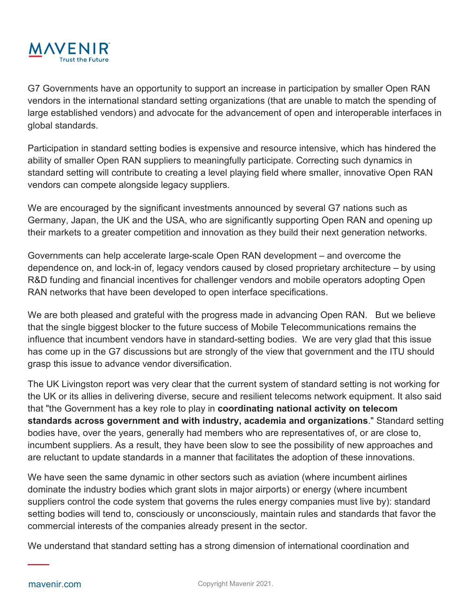

G7 Governments have an opportunity to support an increase in participation by smaller Open RAN vendors in the international standard setting organizations (that are unable to match the spending of large established vendors) and advocate for the advancement of open and interoperable interfaces in global standards.

Participation in standard setting bodies is expensive and resource intensive, which has hindered the ability of smaller Open RAN suppliers to meaningfully participate. Correcting such dynamics in standard setting will contribute to creating a level playing field where smaller, innovative Open RAN vendors can compete alongside legacy suppliers.

We are encouraged by the significant investments announced by several G7 nations such as Germany, Japan, the UK and the USA, who are significantly supporting Open RAN and opening up their markets to a greater competition and innovation as they build their next generation networks.

Governments can help accelerate large-scale Open RAN development – and overcome the dependence on, and lock-in of, legacy vendors caused by closed proprietary architecture – by using R&D funding and financial incentives for challenger vendors and mobile operators adopting Open RAN networks that have been developed to open interface specifications.

We are both pleased and grateful with the progress made in advancing Open RAN. But we believe that the single biggest blocker to the future success of Mobile Telecommunications remains the influence that incumbent vendors have in standard-setting bodies. We are very glad that this issue has come up in the G7 discussions but are strongly of the view that government and the ITU should grasp this issue to advance vendor diversification.

The UK Livingston report was very clear that the current system of standard setting is not working for the UK or its allies in delivering diverse, secure and resilient telecoms network equipment. It also said that "the Government has a key role to play in **coordinating national activity on telecom standards across government and with industry, academia and organizations**." Standard setting bodies have, over the years, generally had members who are representatives of, or are close to, incumbent suppliers. As a result, they have been slow to see the possibility of new approaches and are reluctant to update standards in a manner that facilitates the adoption of these innovations.

We have seen the same dynamic in other sectors such as aviation (where incumbent airlines dominate the industry bodies which grant slots in major airports) or energy (where incumbent suppliers control the code system that governs the rules energy companies must live by): standard setting bodies will tend to, consciously or unconsciously, maintain rules and standards that favor the commercial interests of the companies already present in the sector.

We understand that standard setting has a strong dimension of international coordination and